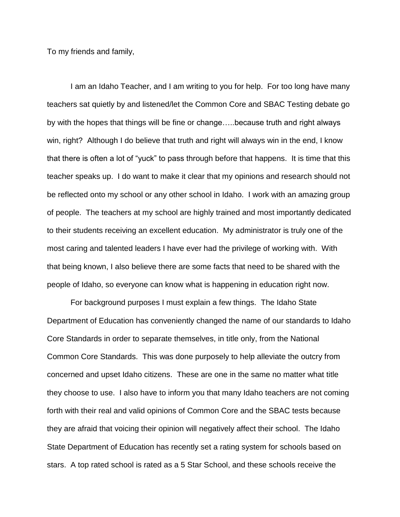To my friends and family,

I am an Idaho Teacher, and I am writing to you for help. For too long have many teachers sat quietly by and listened/let the Common Core and SBAC Testing debate go by with the hopes that things will be fine or change…..because truth and right always win, right? Although I do believe that truth and right will always win in the end, I know that there is often a lot of "yuck" to pass through before that happens. It is time that this teacher speaks up. I do want to make it clear that my opinions and research should not be reflected onto my school or any other school in Idaho. I work with an amazing group of people. The teachers at my school are highly trained and most importantly dedicated to their students receiving an excellent education. My administrator is truly one of the most caring and talented leaders I have ever had the privilege of working with. With that being known, I also believe there are some facts that need to be shared with the people of Idaho, so everyone can know what is happening in education right now.

For background purposes I must explain a few things. The Idaho State Department of Education has conveniently changed the name of our standards to Idaho Core Standards in order to separate themselves, in title only, from the National Common Core Standards. This was done purposely to help alleviate the outcry from concerned and upset Idaho citizens. These are one in the same no matter what title they choose to use. I also have to inform you that many Idaho teachers are not coming forth with their real and valid opinions of Common Core and the SBAC tests because they are afraid that voicing their opinion will negatively affect their school. The Idaho State Department of Education has recently set a rating system for schools based on stars. A top rated school is rated as a 5 Star School, and these schools receive the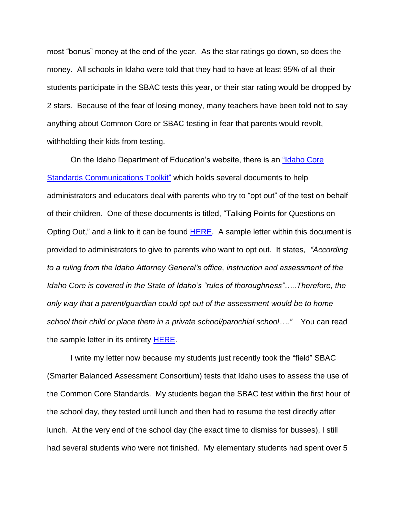most "bonus" money at the end of the year. As the star ratings go down, so does the money. All schools in Idaho were told that they had to have at least 95% of all their students participate in the SBAC tests this year, or their star rating would be dropped by 2 stars. Because of the fear of losing money, many teachers have been told not to say anything about Common Core or SBAC testing in fear that parents would revolt, withholding their kids from testing.

On the Idaho Department of Education's website, there is an ["Idaho Core](http://www.sde.idaho.gov/site/common/toolkit.htm)  [Standards Communications Toolkit"](http://www.sde.idaho.gov/site/common/toolkit.htm) which holds several documents to help administrators and educators deal with parents who try to "opt out" of the test on behalf of their children. One of these documents is titled, "Talking Points for Questions on Opting Out," and a link to it can be found [HERE.](http://www.sde.idaho.gov/site/common/docs/Talking%20Points%20and%20Sample%20Letter%20for%20Questions%20on%20Opting%20Out.pdf) A sample letter within this document is provided to administrators to give to parents who want to opt out. It states, *"According to a ruling from the Idaho Attorney General's office, instruction and assessment of the Idaho Core is covered in the State of Idaho's "rules of thoroughness"…..Therefore, the only way that a parent/guardian could opt out of the assessment would be to home school their child or place them in a private school/parochial school…."* You can read the sample letter in its entirety [HERE.](http://www.sde.idaho.gov/site/common/docs/Talking%20Points%20and%20Sample%20Letter%20for%20Questions%20on%20Opting%20Out.pdf)

I write my letter now because my students just recently took the "field" SBAC (Smarter Balanced Assessment Consortium) tests that Idaho uses to assess the use of the Common Core Standards. My students began the SBAC test within the first hour of the school day, they tested until lunch and then had to resume the test directly after lunch. At the very end of the school day (the exact time to dismiss for busses), I still had several students who were not finished. My elementary students had spent over 5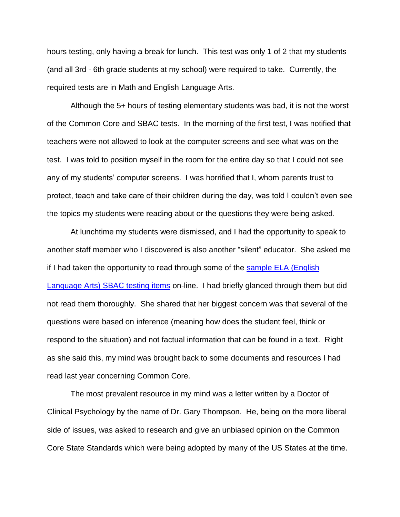hours testing, only having a break for lunch. This test was only 1 of 2 that my students (and all 3rd - 6th grade students at my school) were required to take. Currently, the required tests are in Math and English Language Arts.

Although the 5+ hours of testing elementary students was bad, it is not the worst of the Common Core and SBAC tests. In the morning of the first test, I was notified that teachers were not allowed to look at the computer screens and see what was on the test. I was told to position myself in the room for the entire day so that I could not see any of my students' computer screens. I was horrified that I, whom parents trust to protect, teach and take care of their children during the day, was told I couldn't even see the topics my students were reading about or the questions they were being asked.

At lunchtime my students were dismissed, and I had the opportunity to speak to another staff member who I discovered is also another "silent" educator. She asked me if I had taken the opportunity to read through some of the [sample ELA \(English](https://login4.cloud1.tds.airast.org/student/V30/Pages/LoginShell.aspx?c=SBAC_PT)  [Language Arts\) SBAC testing items](https://login4.cloud1.tds.airast.org/student/V30/Pages/LoginShell.aspx?c=SBAC_PT) on-line. I had briefly glanced through them but did not read them thoroughly. She shared that her biggest concern was that several of the questions were based on inference (meaning how does the student feel, think or respond to the situation) and not factual information that can be found in a text. Right as she said this, my mind was brought back to some documents and resources I had read last year concerning Common Core.

The most prevalent resource in my mind was a letter written by a Doctor of Clinical Psychology by the name of Dr. Gary Thompson. He, being on the more liberal side of issues, was asked to research and give an unbiased opinion on the Common Core State Standards which were being adopted by many of the US States at the time.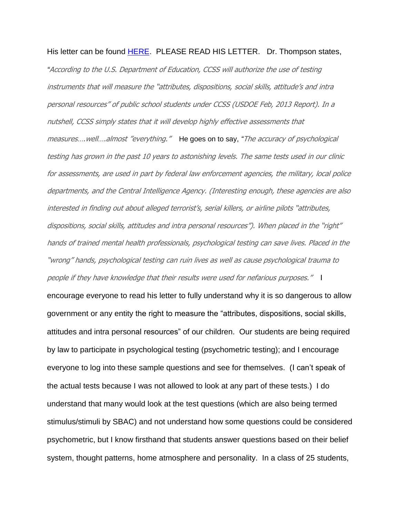His letter can be found [HERE.](http://truthinamericaneducation.com/common-core-state-standards/a-mental-health-professionals-perspective-on-the-common-core/) PLEASE READ HIS LETTER. Dr. Thompson states, *"*According to the U.S. Department of Education, CCSS will authorize the use of testing instruments that will measure the "attributes, dispositions, social skills, attitude's and intra personal resources" of public school students under CCSS (USDOE Feb, 2013 Report). In a nutshell, CCSS simply states that it will develop highly effective assessments that measures….well….almost "everything." He goes on to say, *"*The accuracy of psychological testing has grown in the past 10 years to astonishing levels. The same tests used in our clinic for assessments, are used in part by federal law enforcement agencies, the military, local police departments, and the Central Intelligence Agency. (Interesting enough, these agencies are also interested in finding out about alleged terrorist's, serial killers, or airline pilots "attributes, dispositions, social skills, attitudes and intra personal resources"). When placed in the "right" hands of trained mental health professionals, psychological testing can save lives. Placed in the "wrong" hands, psychological testing can ruin lives as well as cause psychological trauma to people if they have knowledge that their results were used for nefarious purposes." I

encourage everyone to read his letter to fully understand why it is so dangerous to allow government or any entity the right to measure the "attributes, dispositions, social skills, attitudes and intra personal resources" of our children. Our students are being required by law to participate in psychological testing (psychometric testing); and I encourage everyone to log into these sample questions and see for themselves. (I can't speak of the actual tests because I was not allowed to look at any part of these tests.) I do understand that many would look at the test questions (which are also being termed stimulus/stimuli by SBAC) and not understand how some questions could be considered psychometric, but I know firsthand that students answer questions based on their belief system, thought patterns, home atmosphere and personality. In a class of 25 students,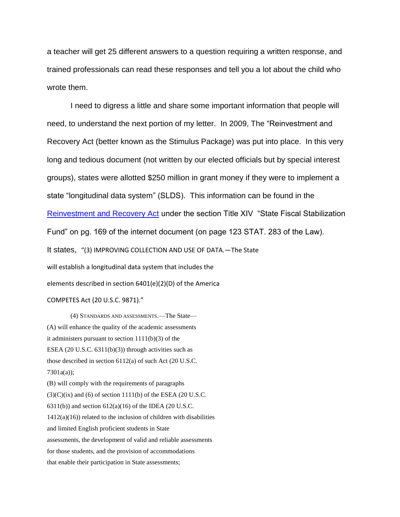a teacher will get 25 different answers to a question requiring a written response, and trained professionals can read these responses and tell you a lot about the child who wrote them.

I need to digress a little and share some important information that people will need, to understand the next portion of my letter. In 2009, The "Reinvestment and Recovery Act (better known as the Stimulus Package) was put into place. In this very long and tedious document (not written by our elected officials but by special interest groups), states were allotted \$250 million in grant money if they were to implement a state "longitudinal data system" (SLDS). This information can be found in the [Reinvestment and Recovery Act](http://www.gpo.gov/fdsys/pkg/PLAW-111publ5/pdf/PLAW-111publ5.pdf) under the section Title XIV "State Fiscal Stabilization Fund" on pg. 169 of the internet document (on page 123 STAT. 283 of the Law). It states, "(3) IMPROVING COLLECTION AND USE OF DATA.—The State will establish a longitudinal data system that includes the elements described in section 6401(e)(2)(D) of the America

COMPETES Act (20 U.S.C. 9871)."

(4) STANDARDS AND ASSESSMENTS.—The State— (A) will enhance the quality of the academic assessments it administers pursuant to section  $1111(b)(3)$  of the ESEA (20 U.S.C.  $6311(b)(3)$ ) through activities such as those described in section 6112(a) of such Act (20 U.S.C. 7301a(a)); (B) will comply with the requirements of paragraphs  $(3)(C)(ix)$  and  $(6)$  of section 1111(b) of the ESEA (20 U.S.C. 6311(b)) and section  $612(a)(16)$  of the IDEA (20 U.S.C.  $1412(a)(16)$ ) related to the inclusion of children with disabilities and limited English proficient students in State assessments, the development of valid and reliable assessments for those students, and the provision of accommodations that enable their participation in State assessments;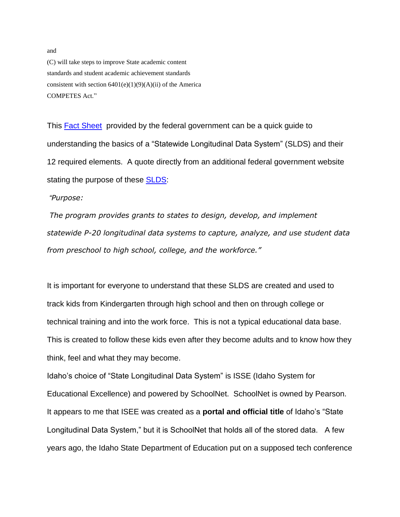(C) will take steps to improve State academic content standards and student academic achievement standards consistent with section  $6401(e)(1)(9)(A)(ii)$  of the America COMPETES Act."

This [Fact Sheet](http://www2.ed.gov/programs/slds/factsheet.pdf) provided by the federal government can be a quick guide to understanding the basics of a "Statewide Longitudinal Data System" (SLDS) and their 12 required elements. A quote directly from an additional federal government website stating the purpose of these [SLDS:](http://www2.ed.gov/programs/slds/factsheet.html)

## *"Purpose:*

*The program provides grants to states to design, develop, and implement statewide P-20 longitudinal data systems to capture, analyze, and use student data from preschool to high school, college, and the workforce."* 

It is important for everyone to understand that these SLDS are created and used to track kids from Kindergarten through high school and then on through college or technical training and into the work force. This is not a typical educational data base. This is created to follow these kids even after they become adults and to know how they think, feel and what they may become.

Idaho's choice of "State Longitudinal Data System" is ISSE (Idaho System for Educational Excellence) and powered by SchoolNet. SchoolNet is owned by Pearson. It appears to me that ISEE was created as a **portal and official title** of Idaho's "State Longitudinal Data System," but it is SchoolNet that holds all of the stored data. A few years ago, the Idaho State Department of Education put on a supposed tech conference

and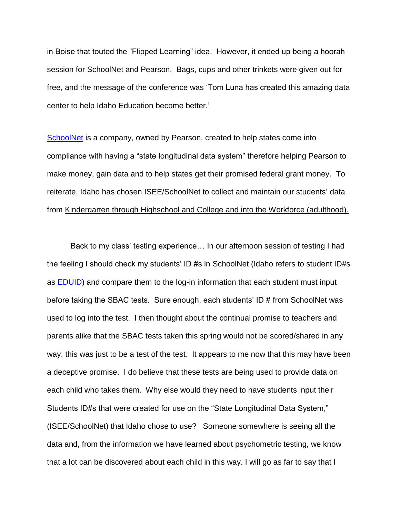in Boise that touted the "Flipped Learning" idea. However, it ended up being a hoorah session for SchoolNet and Pearson. Bags, cups and other trinkets were given out for free, and the message of the conference was 'Tom Luna has created this amazing data center to help Idaho Education become better.'

[SchoolNet](http://www.schoolnet.com/) is a company, owned by Pearson, created to help states come into compliance with having a "state longitudinal data system" therefore helping Pearson to make money, gain data and to help states get their promised federal grant money. To reiterate, Idaho has chosen ISEE/SchoolNet to collect and maintain our students' data from Kindergarten through Highschool and College and into the Workforce (adulthood).

Back to my class' testing experience… In our afternoon session of testing I had the feeling I should check my students' ID #s in SchoolNet (Idaho refers to student ID#s as [EDUID\)](https://apps.sde.idaho.gov/EDUID) and compare them to the log-in information that each student must input before taking the SBAC tests. Sure enough, each students' ID # from SchoolNet was used to log into the test. I then thought about the continual promise to teachers and parents alike that the SBAC tests taken this spring would not be scored/shared in any way; this was just to be a test of the test. It appears to me now that this may have been a deceptive promise. I do believe that these tests are being used to provide data on each child who takes them. Why else would they need to have students input their Students ID#s that were created for use on the "State Longitudinal Data System," (ISEE/SchoolNet) that Idaho chose to use? Someone somewhere is seeing all the data and, from the information we have learned about psychometric testing, we know that a lot can be discovered about each child in this way. I will go as far to say that I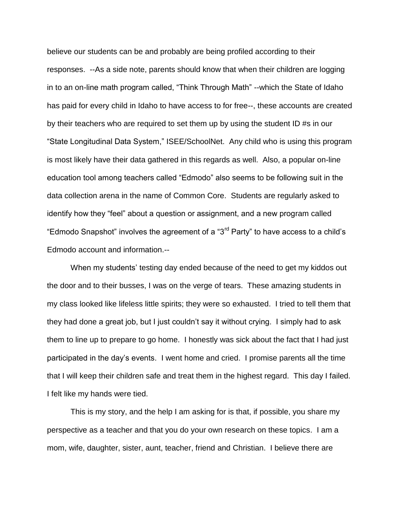believe our students can be and probably are being profiled according to their responses. --As a side note, parents should know that when their children are logging in to an on-line math program called, "Think Through Math" --which the State of Idaho has paid for every child in Idaho to have access to for free--, these accounts are created by their teachers who are required to set them up by using the student ID #s in our "State Longitudinal Data System," ISEE/SchoolNet. Any child who is using this program is most likely have their data gathered in this regards as well. Also, a popular on-line education tool among teachers called "Edmodo" also seems to be following suit in the data collection arena in the name of Common Core. Students are regularly asked to identify how they "feel" about a question or assignment, and a new program called "Edmodo Snapshot" involves the agreement of a "3rd Party" to have access to a child's Edmodo account and information.--

When my students' testing day ended because of the need to get my kiddos out the door and to their busses, I was on the verge of tears. These amazing students in my class looked like lifeless little spirits; they were so exhausted. I tried to tell them that they had done a great job, but I just couldn't say it without crying. I simply had to ask them to line up to prepare to go home. I honestly was sick about the fact that I had just participated in the day's events. I went home and cried. I promise parents all the time that I will keep their children safe and treat them in the highest regard. This day I failed. I felt like my hands were tied.

This is my story, and the help I am asking for is that, if possible, you share my perspective as a teacher and that you do your own research on these topics. I am a mom, wife, daughter, sister, aunt, teacher, friend and Christian. I believe there are